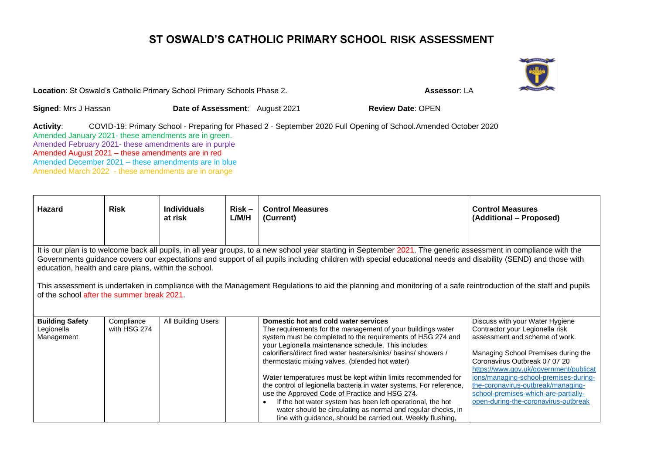## **ST OSWALD'S CATHOLIC PRIMARY SCHOOL RISK ASSESSMENT**

**Location**: St Oswald's Catholic Primary School Primary Schools Phase 2. **Assessor: LA** 

**Signed:** Mrs J Hassan **Date of Assessment**: August 2021 **Review Date**: OPEN

**Activity**: COVID-19: Primary School - Preparing for Phased 2 - September 2020 Full Opening of School.Amended October 2020 Amended January 2021- these amendments are in green. Amended February 2021- these amendments are in purple Amended August 2021 – these amendments are in red Amended December 2021 – these amendments are in blue Amended March 2022 - these amendments are in orange

| Hazard                                                                                                                                                                                                                                                                                                                                                                                                                                                                                                                                                                                                     | <b>Risk</b>                | <b>Individuals</b><br>at risk | $Risk -$<br>L/M/H | <b>Control Measures</b><br>(Current)                                                                                                                                                                                                                                                                                                                                                                                                                                                                                                                                                                                                                                                                                                                | <b>Control Measures</b><br>(Additional - Proposed)                                                                                                                                                                                                                                                                                                                                    |  |  |  |
|------------------------------------------------------------------------------------------------------------------------------------------------------------------------------------------------------------------------------------------------------------------------------------------------------------------------------------------------------------------------------------------------------------------------------------------------------------------------------------------------------------------------------------------------------------------------------------------------------------|----------------------------|-------------------------------|-------------------|-----------------------------------------------------------------------------------------------------------------------------------------------------------------------------------------------------------------------------------------------------------------------------------------------------------------------------------------------------------------------------------------------------------------------------------------------------------------------------------------------------------------------------------------------------------------------------------------------------------------------------------------------------------------------------------------------------------------------------------------------------|---------------------------------------------------------------------------------------------------------------------------------------------------------------------------------------------------------------------------------------------------------------------------------------------------------------------------------------------------------------------------------------|--|--|--|
| It is our plan is to welcome back all pupils, in all year groups, to a new school year starting in September 2021. The generic assessment in compliance with the<br>Governments guidance covers our expectations and support of all pupils including children with special educational needs and disability (SEND) and those with<br>education, health and care plans, within the school.<br>This assessment is undertaken in compliance with the Management Regulations to aid the planning and monitoring of a safe reintroduction of the staff and pupils<br>of the school after the summer break 2021. |                            |                               |                   |                                                                                                                                                                                                                                                                                                                                                                                                                                                                                                                                                                                                                                                                                                                                                     |                                                                                                                                                                                                                                                                                                                                                                                       |  |  |  |
| <b>Building Safety</b><br>Legionella<br>Management                                                                                                                                                                                                                                                                                                                                                                                                                                                                                                                                                         | Compliance<br>with HSG 274 | All Building Users            |                   | Domestic hot and cold water services<br>The requirements for the management of your buildings water<br>system must be completed to the requirements of HSG 274 and<br>your Legionella maintenance schedule. This includes<br>calorifiers/direct fired water heaters/sinks/ basins/ showers /<br>thermostatic mixing valves. (blended hot water)<br>Water temperatures must be kept within limits recommended for<br>the control of legionella bacteria in water systems. For reference,<br>use the Approved Code of Practice and HSG 274.<br>If the hot water system has been left operational, the hot<br>$\bullet$<br>water should be circulating as normal and regular checks, in<br>line with guidance, should be carried out. Weekly flushing, | Discuss with your Water Hygiene<br>Contractor your Legionella risk<br>assessment and scheme of work.<br>Managing School Premises during the<br>Coronavirus Outbreak 07 07 20<br>https://www.gov.uk/government/publicat<br>ions/managing-school-premises-during-<br>the-coronavirus-outbreak/managing-<br>school-premises-which-are-partially-<br>open-during-the-coronavirus-outbreak |  |  |  |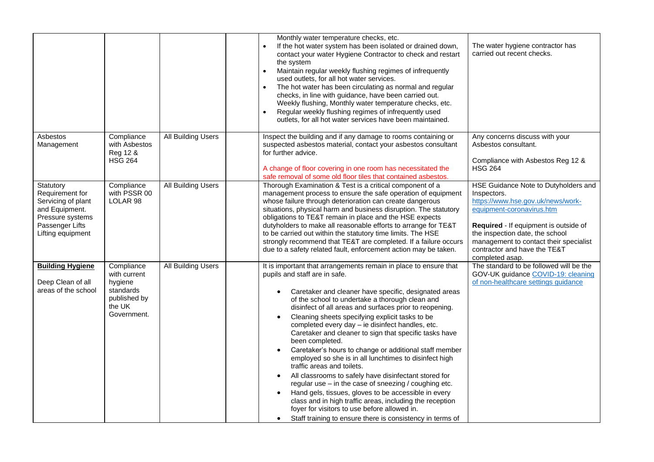|                                                                                                                                  |                                                                                             |                           | Monthly water temperature checks, etc.<br>If the hot water system has been isolated or drained down,<br>contact your water Hygiene Contractor to check and restart<br>the system<br>Maintain regular weekly flushing regimes of infrequently<br>$\bullet$<br>used outlets, for all hot water services.<br>The hot water has been circulating as normal and regular<br>$\bullet$<br>checks, in line with guidance, have been carried out.<br>Weekly flushing, Monthly water temperature checks, etc.<br>Regular weekly flushing regimes of infrequently used<br>$\bullet$<br>outlets, for all hot water services have been maintained.                                                                                                                                                                                                                                                                                                                                                                                   | The water hygiene contractor has<br>carried out recent checks.                                                                                                                                                                                                                                 |
|----------------------------------------------------------------------------------------------------------------------------------|---------------------------------------------------------------------------------------------|---------------------------|-------------------------------------------------------------------------------------------------------------------------------------------------------------------------------------------------------------------------------------------------------------------------------------------------------------------------------------------------------------------------------------------------------------------------------------------------------------------------------------------------------------------------------------------------------------------------------------------------------------------------------------------------------------------------------------------------------------------------------------------------------------------------------------------------------------------------------------------------------------------------------------------------------------------------------------------------------------------------------------------------------------------------|------------------------------------------------------------------------------------------------------------------------------------------------------------------------------------------------------------------------------------------------------------------------------------------------|
| Asbestos<br>Management                                                                                                           | Compliance<br>with Asbestos<br>Reg 12 &<br><b>HSG 264</b>                                   | All Building Users        | Inspect the building and if any damage to rooms containing or<br>suspected asbestos material, contact your asbestos consultant<br>for further advice.<br>A change of floor covering in one room has necessitated the<br>safe removal of some old floor tiles that contained asbestos.                                                                                                                                                                                                                                                                                                                                                                                                                                                                                                                                                                                                                                                                                                                                   | Any concerns discuss with your<br>Asbestos consultant.<br>Compliance with Asbestos Reg 12 &<br><b>HSG 264</b>                                                                                                                                                                                  |
| Statutory<br>Requirement for<br>Servicing of plant<br>and Equipment.<br>Pressure systems<br>Passenger Lifts<br>Lifting equipment | Compliance<br>with PSSR 00<br>LOLAR <sub>98</sub>                                           | <b>All Building Users</b> | Thorough Examination & Test is a critical component of a<br>management process to ensure the safe operation of equipment<br>whose failure through deterioration can create dangerous<br>situations, physical harm and business disruption. The statutory<br>obligations to TE&T remain in place and the HSE expects<br>dutyholders to make all reasonable efforts to arrange for TE&T<br>to be carried out within the statutory time limits. The HSE<br>strongly recommend that TE&T are completed. If a failure occurs<br>due to a safety related fault, enforcement action may be taken.                                                                                                                                                                                                                                                                                                                                                                                                                              | HSE Guidance Note to Dutyholders and<br>Inspectors.<br>https://www.hse.gov.uk/news/work-<br>equipment-coronavirus.htm<br>Required - If equipment is outside of<br>the inspection date, the school<br>management to contact their specialist<br>contractor and have the TE&T<br>completed asap. |
| <b>Building Hygiene</b><br>Deep Clean of all<br>areas of the school                                                              | Compliance<br>with current<br>hygiene<br>standards<br>published by<br>the UK<br>Government. | <b>All Building Users</b> | It is important that arrangements remain in place to ensure that<br>pupils and staff are in safe.<br>Caretaker and cleaner have specific, designated areas<br>$\bullet$<br>of the school to undertake a thorough clean and<br>disinfect of all areas and surfaces prior to reopening.<br>Cleaning sheets specifying explicit tasks to be<br>$\bullet$<br>completed every day - ie disinfect handles, etc.<br>Caretaker and cleaner to sign that specific tasks have<br>been completed.<br>Caretaker's hours to change or additional staff member<br>employed so she is in all lunchtimes to disinfect high<br>traffic areas and toilets.<br>All classrooms to safely have disinfectant stored for<br>regular use $-$ in the case of sneezing / coughing etc.<br>Hand gels, tissues, gloves to be accessible in every<br>$\bullet$<br>class and in high traffic areas, including the reception<br>foyer for visitors to use before allowed in.<br>Staff training to ensure there is consistency in terms of<br>$\bullet$ | The standard to be followed will be the<br>GOV-UK guidance COVID-19: cleaning<br>of non-healthcare settings guidance                                                                                                                                                                           |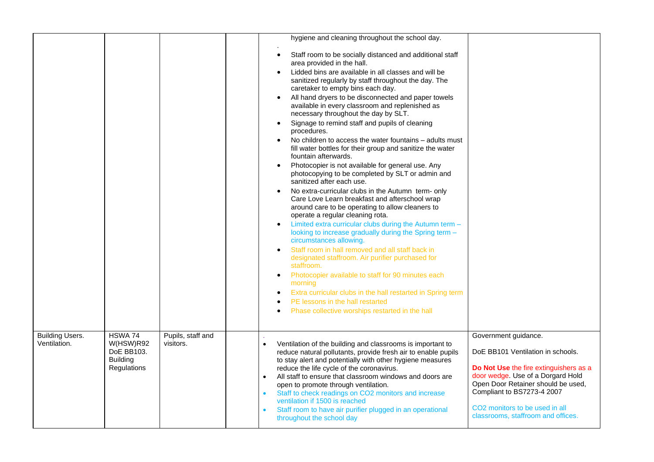|                        |                                |                   |                        | hygiene and cleaning throughout the school day.                                                                                                                                                                                                                    |                                                                                                                                                 |
|------------------------|--------------------------------|-------------------|------------------------|--------------------------------------------------------------------------------------------------------------------------------------------------------------------------------------------------------------------------------------------------------------------|-------------------------------------------------------------------------------------------------------------------------------------------------|
|                        |                                |                   |                        | Staff room to be socially distanced and additional staff<br>$\bullet$<br>area provided in the hall.                                                                                                                                                                |                                                                                                                                                 |
|                        |                                |                   |                        | Lidded bins are available in all classes and will be<br>sanitized regularly by staff throughout the day. The<br>caretaker to empty bins each day.                                                                                                                  |                                                                                                                                                 |
|                        |                                |                   |                        | All hand dryers to be disconnected and paper towels<br>$\bullet$<br>available in every classroom and replenished as<br>necessary throughout the day by SLT.                                                                                                        |                                                                                                                                                 |
|                        |                                |                   |                        | Signage to remind staff and pupils of cleaning<br>$\bullet$<br>procedures.                                                                                                                                                                                         |                                                                                                                                                 |
|                        |                                |                   |                        | No children to access the water fountains - adults must<br>$\bullet$<br>fill water bottles for their group and sanitize the water<br>fountain afterwards.                                                                                                          |                                                                                                                                                 |
|                        |                                |                   |                        | Photocopier is not available for general use. Any<br>$\bullet$<br>photocopying to be completed by SLT or admin and<br>sanitized after each use.                                                                                                                    |                                                                                                                                                 |
|                        |                                |                   |                        | No extra-curricular clubs in the Autumn term- only<br>$\bullet$<br>Care Love Learn breakfast and afterschool wrap<br>around care to be operating to allow cleaners to<br>operate a regular cleaning rota.                                                          |                                                                                                                                                 |
|                        |                                |                   |                        | Limited extra curricular clubs during the Autumn term -<br>$\bullet$<br>looking to increase gradually during the Spring term -<br>circumstances allowing.                                                                                                          |                                                                                                                                                 |
|                        |                                |                   |                        | Staff room in hall removed and all staff back in<br>$\bullet$<br>designated staffroom. Air purifier purchased for<br>staffroom.                                                                                                                                    |                                                                                                                                                 |
|                        |                                |                   |                        | Photocopier available to staff for 90 minutes each<br>$\bullet$<br>morning                                                                                                                                                                                         |                                                                                                                                                 |
|                        |                                |                   |                        | Extra curricular clubs in the hall restarted in Spring term<br>PE lessons in the hall restarted                                                                                                                                                                    |                                                                                                                                                 |
|                        |                                |                   |                        | Phase collective worships restarted in the hall                                                                                                                                                                                                                    |                                                                                                                                                 |
| <b>Building Users.</b> | HSWA 74                        | Pupils, staff and |                        |                                                                                                                                                                                                                                                                    | Government guidance.                                                                                                                            |
| Ventilation.           | W(HSW)R92<br>DoE BB103.        | visitors.         | $\bullet$              | Ventilation of the building and classrooms is important to<br>reduce natural pollutants, provide fresh air to enable pupils                                                                                                                                        | DoE BB101 Ventilation in schools.                                                                                                               |
|                        | <b>Building</b><br>Regulations |                   | $\bullet$<br>$\bullet$ | to stay alert and potentially with other hygiene measures<br>reduce the life cycle of the coronavirus.<br>All staff to ensure that classroom windows and doors are<br>open to promote through ventilation.<br>Staff to check readings on CO2 monitors and increase | Do Not Use the fire extinguishers as a<br>door wedge. Use of a Dorgard Hold<br>Open Door Retainer should be used,<br>Compliant to BS7273-4 2007 |
|                        |                                |                   | $\bullet$              | ventilation if 1500 is reached<br>Staff room to have air purifier plugged in an operational<br>throughout the school day                                                                                                                                           | CO <sub>2</sub> monitors to be used in all<br>classrooms, staffroom and offices.                                                                |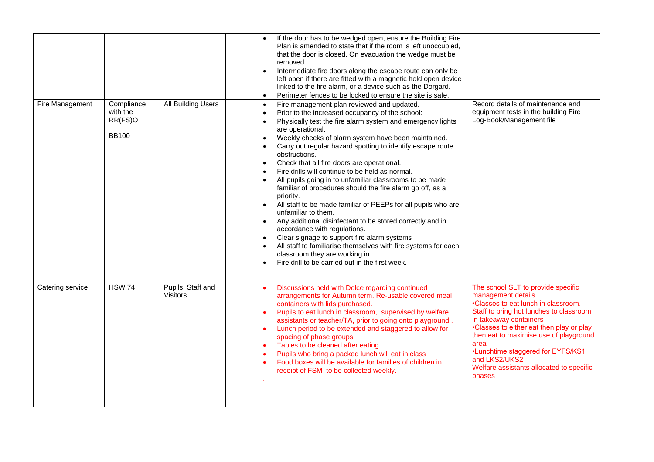|                  |                                                   |                               | $\bullet$<br>$\bullet$<br>$\bullet$                                                                                                                                                | If the door has to be wedged open, ensure the Building Fire<br>Plan is amended to state that if the room is left unoccupied,<br>that the door is closed. On evacuation the wedge must be<br>removed.<br>Intermediate fire doors along the escape route can only be<br>left open if there are fitted with a magnetic hold open device<br>linked to the fire alarm, or a device such as the Dorgard.<br>Perimeter fences to be locked to ensure the site is safe.                                                                                                                                                                                                                                                                                                                                                                                                                                                                           |                                                                                                                                                                                                                                                                                                                                                                                |
|------------------|---------------------------------------------------|-------------------------------|------------------------------------------------------------------------------------------------------------------------------------------------------------------------------------|-------------------------------------------------------------------------------------------------------------------------------------------------------------------------------------------------------------------------------------------------------------------------------------------------------------------------------------------------------------------------------------------------------------------------------------------------------------------------------------------------------------------------------------------------------------------------------------------------------------------------------------------------------------------------------------------------------------------------------------------------------------------------------------------------------------------------------------------------------------------------------------------------------------------------------------------|--------------------------------------------------------------------------------------------------------------------------------------------------------------------------------------------------------------------------------------------------------------------------------------------------------------------------------------------------------------------------------|
| Fire Management  | Compliance<br>with the<br>RR(FS)O<br><b>BB100</b> | All Building Users            | $\bullet$<br>$\bullet$<br>$\bullet$<br>$\bullet$<br>$\bullet$<br>$\bullet$<br>$\bullet$<br>$\bullet$<br>priority.<br>$\bullet$<br>$\bullet$<br>$\bullet$<br>$\bullet$<br>$\bullet$ | Fire management plan reviewed and updated.<br>Prior to the increased occupancy of the school:<br>Physically test the fire alarm system and emergency lights<br>are operational.<br>Weekly checks of alarm system have been maintained.<br>Carry out regular hazard spotting to identify escape route<br>obstructions.<br>Check that all fire doors are operational.<br>Fire drills will continue to be held as normal.<br>All pupils going in to unfamiliar classrooms to be made<br>familiar of procedures should the fire alarm go off, as a<br>All staff to be made familiar of PEEPs for all pupils who are<br>unfamiliar to them.<br>Any additional disinfectant to be stored correctly and in<br>accordance with regulations.<br>Clear signage to support fire alarm systems<br>All staff to familiarise themselves with fire systems for each<br>classroom they are working in.<br>Fire drill to be carried out in the first week. | Record details of maintenance and<br>equipment tests in the building Fire<br>Log-Book/Management file                                                                                                                                                                                                                                                                          |
| Catering service | <b>HSW 74</b>                                     | Pupils, Staff and<br>Visitors | $\bullet$<br>$\bullet$<br>$\bullet$<br>$\bullet$<br>$\bullet$<br>$\bullet$                                                                                                         | Discussions held with Dolce regarding continued<br>arrangements for Autumn term. Re-usable covered meal<br>containers with lids purchased.<br>Pupils to eat lunch in classroom, supervised by welfare<br>assistants or teacher/TA, prior to going onto playground<br>Lunch period to be extended and staggered to allow for<br>spacing of phase groups.<br>Tables to be cleaned after eating.<br>Pupils who bring a packed lunch will eat in class<br>Food boxes will be available for families of children in<br>receipt of FSM to be collected weekly.                                                                                                                                                                                                                                                                                                                                                                                  | The school SLT to provide specific<br>management details<br>•Classes to eat lunch in classroom.<br>Staff to bring hot lunches to classroom<br>in takeaway containers<br>•Classes to either eat then play or play<br>then eat to maximise use of playground<br>area<br>•Lunchtime staggered for EYFS/KS1<br>and LKS2/UKS2<br>Welfare assistants allocated to specific<br>phases |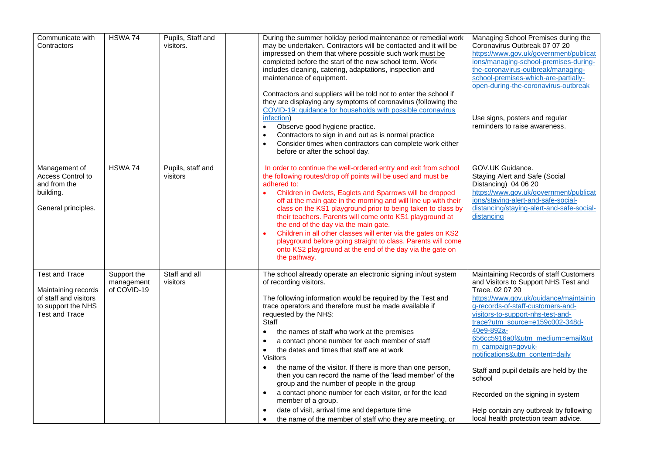| Communicate with<br>Contractors                                                                                      | HSWA 74                                  | Pupils, Staff and<br>visitors. | During the summer holiday period maintenance or remedial work<br>may be undertaken. Contractors will be contacted and it will be<br>impressed on them that where possible such work must be<br>completed before the start of the new school term. Work<br>includes cleaning, catering, adaptations, inspection and<br>maintenance of equipment.<br>Contractors and suppliers will be told not to enter the school if<br>they are displaying any symptoms of coronavirus (following the<br>COVID-19: guidance for households with possible coronavirus<br>infection)<br>Observe good hygiene practice.<br>$\bullet$<br>Contractors to sign in and out as is normal practice<br>$\bullet$<br>Consider times when contractors can complete work either<br>$\bullet$<br>before or after the school day.                                                                            | Managing School Premises during the<br>Coronavirus Outbreak 07 07 20<br>https://www.gov.uk/government/publicat<br>ions/managing-school-premises-during-<br>the-coronavirus-outbreak/managing-<br>school-premises-which-are-partially-<br>open-during-the-coronavirus-outbreak<br>Use signs, posters and regular<br>reminders to raise awareness.                                                                                                                                                                                               |
|----------------------------------------------------------------------------------------------------------------------|------------------------------------------|--------------------------------|--------------------------------------------------------------------------------------------------------------------------------------------------------------------------------------------------------------------------------------------------------------------------------------------------------------------------------------------------------------------------------------------------------------------------------------------------------------------------------------------------------------------------------------------------------------------------------------------------------------------------------------------------------------------------------------------------------------------------------------------------------------------------------------------------------------------------------------------------------------------------------|------------------------------------------------------------------------------------------------------------------------------------------------------------------------------------------------------------------------------------------------------------------------------------------------------------------------------------------------------------------------------------------------------------------------------------------------------------------------------------------------------------------------------------------------|
| Management of<br><b>Access Control to</b><br>and from the<br>building.<br>General principles.                        | HSWA 74                                  | Pupils, staff and<br>visitors  | In order to continue the well-ordered entry and exit from school<br>the following routes/drop off points will be used and must be<br>adhered to:<br>Children in Owlets, Eaglets and Sparrows will be dropped<br>$\bullet$<br>off at the main gate in the morning and will line up with their<br>class on the KS1 playground prior to being taken to class by<br>their teachers. Parents will come onto KS1 playground at<br>the end of the day via the main gate.<br>Children in all other classes will enter via the gates on KS2<br>$\bullet$<br>playground before going straight to class. Parents will come<br>onto KS2 playground at the end of the day via the gate on<br>the pathway.                                                                                                                                                                                   | GOV.UK Guidance.<br>Staying Alert and Safe (Social<br>Distancing) 04 06 20<br>https://www.gov.uk/government/publicat<br>ions/staying-alert-and-safe-social-<br>distancing/staying-alert-and-safe-social-<br>distancing                                                                                                                                                                                                                                                                                                                         |
| <b>Test and Trace</b><br>Maintaining records<br>of staff and visitors<br>to support the NHS<br><b>Test and Trace</b> | Support the<br>management<br>of COVID-19 | Staff and all<br>visitors      | The school already operate an electronic signing in/out system<br>of recording visitors.<br>The following information would be required by the Test and<br>trace operators and therefore must be made available if<br>requested by the NHS:<br>Staff<br>the names of staff who work at the premises<br>$\bullet$<br>a contact phone number for each member of staff<br>$\bullet$<br>the dates and times that staff are at work<br>$\bullet$<br><b>Visitors</b><br>the name of the visitor. If there is more than one person,<br>then you can record the name of the 'lead member' of the<br>group and the number of people in the group<br>a contact phone number for each visitor, or for the lead<br>$\bullet$<br>member of a group.<br>date of visit, arrival time and departure time<br>$\bullet$<br>the name of the member of staff who they are meeting, or<br>$\bullet$ | Maintaining Records of staff Customers<br>and Visitors to Support NHS Test and<br>Trace. 02 07 20<br>https://www.gov.uk/guidance/maintainin<br>g-records-of-staff-customers-and-<br>visitors-to-support-nhs-test-and-<br>trace?utm_source=e159c002-348d-<br>40e9-892a-<br>656cc5916a0f&utm_medium=email&ut<br>m_campaign=govuk-<br>notifications&utm_content=daily<br>Staff and pupil details are held by the<br>school<br>Recorded on the signing in system<br>Help contain any outbreak by following<br>local health protection team advice. |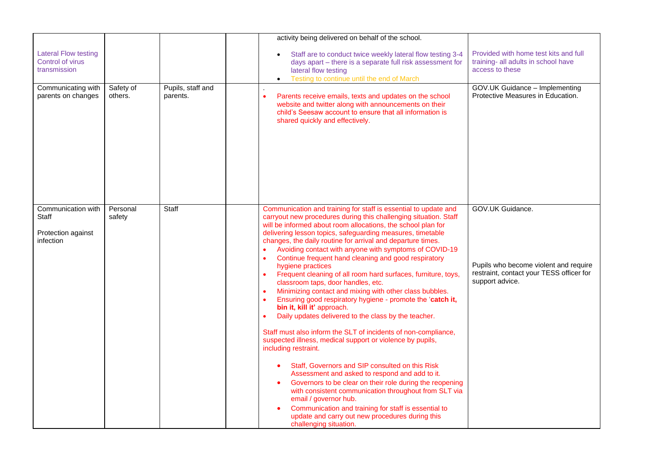|                                                                       |                      |                               | activity being delivered on behalf of the school.                                                                                                                                                                                                                                                                                                                                                                                                                                                                                                                                                                                                                                                                                                                                                                                                                                                                                                                                                                                                                                                                                                                                                                                                                                                                                                                                                                          |                                                                                                                          |
|-----------------------------------------------------------------------|----------------------|-------------------------------|----------------------------------------------------------------------------------------------------------------------------------------------------------------------------------------------------------------------------------------------------------------------------------------------------------------------------------------------------------------------------------------------------------------------------------------------------------------------------------------------------------------------------------------------------------------------------------------------------------------------------------------------------------------------------------------------------------------------------------------------------------------------------------------------------------------------------------------------------------------------------------------------------------------------------------------------------------------------------------------------------------------------------------------------------------------------------------------------------------------------------------------------------------------------------------------------------------------------------------------------------------------------------------------------------------------------------------------------------------------------------------------------------------------------------|--------------------------------------------------------------------------------------------------------------------------|
| <b>Lateral Flow testing</b><br>Control of virus<br>transmission       |                      |                               | Staff are to conduct twice weekly lateral flow testing 3-4<br>days apart - there is a separate full risk assessment for<br>lateral flow testing<br>Testing to continue until the end of March                                                                                                                                                                                                                                                                                                                                                                                                                                                                                                                                                                                                                                                                                                                                                                                                                                                                                                                                                                                                                                                                                                                                                                                                                              | Provided with home test kits and full<br>training- all adults in school have<br>access to these                          |
| Communicating with<br>parents on changes                              | Safety of<br>others. | Pupils, staff and<br>parents. | Parents receive emails, texts and updates on the school<br>$\bullet$<br>website and twitter along with announcements on their<br>child's Seesaw account to ensure that all information is<br>shared quickly and effectively.                                                                                                                                                                                                                                                                                                                                                                                                                                                                                                                                                                                                                                                                                                                                                                                                                                                                                                                                                                                                                                                                                                                                                                                               | GOV.UK Guidance - Implementing<br>Protective Measures in Education.                                                      |
| Communication with<br>Staff<br>Protection against<br><i>infection</i> | Personal<br>safety   | Staff                         | Communication and training for staff is essential to update and<br>carryout new procedures during this challenging situation. Staff<br>will be informed about room allocations, the school plan for<br>delivering lesson topics, safeguarding measures, timetable<br>changes, the daily routine for arrival and departure times.<br>Avoiding contact with anyone with symptoms of COVID-19<br>Continue frequent hand cleaning and good respiratory<br>$\bullet$<br>hygiene practices<br>Frequent cleaning of all room hard surfaces, furniture, toys,<br>$\bullet$<br>classroom taps, door handles, etc.<br>Minimizing contact and mixing with other class bubbles.<br>$\bullet$<br>Ensuring good respiratory hygiene - promote the 'catch it,<br>$\bullet$<br>bin it, kill it' approach.<br>Daily updates delivered to the class by the teacher.<br>Staff must also inform the SLT of incidents of non-compliance,<br>suspected illness, medical support or violence by pupils,<br>including restraint.<br>Staff, Governors and SIP consulted on this Risk<br>$\bullet$<br>Assessment and asked to respond and add to it.<br>Governors to be clear on their role during the reopening<br>$\bullet$<br>with consistent communication throughout from SLT via<br>email / governor hub.<br>Communication and training for staff is essential to<br>update and carry out new procedures during this<br>challenging situation. | GOV.UK Guidance.<br>Pupils who become violent and require<br>restraint, contact your TESS officer for<br>support advice. |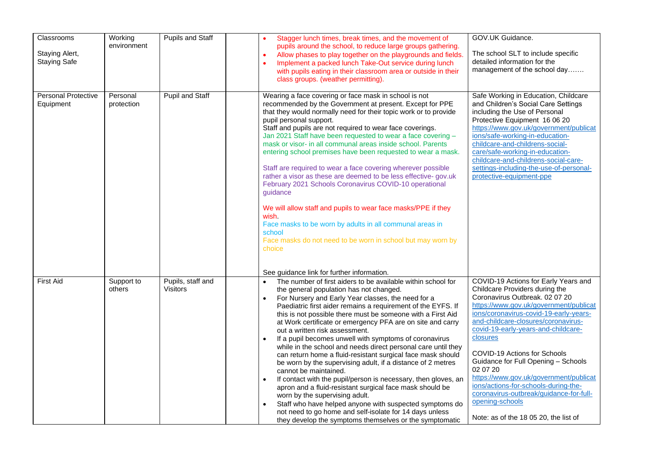| Classrooms<br>Staying Alert,<br><b>Staying Safe</b> | Working<br>environment | <b>Pupils and Staff</b>       | Stagger lunch times, break times, and the movement of<br>$\bullet$<br>pupils around the school, to reduce large groups gathering.<br>Allow phases to play together on the playgrounds and fields.<br>$\bullet$<br>Implement a packed lunch Take-Out service during lunch<br>$\bullet$<br>with pupils eating in their classroom area or outside in their<br>class groups. (weather permitting).                                                                                                                                                                                                                                                                                                                                                                                                                                                                                                                                                                                                                                                                                                   | GOV.UK Guidance.<br>The school SLT to include specific<br>detailed information for the<br>management of the school day                                                                                                                                                                                                                                                                                                                                                                                                                                             |
|-----------------------------------------------------|------------------------|-------------------------------|--------------------------------------------------------------------------------------------------------------------------------------------------------------------------------------------------------------------------------------------------------------------------------------------------------------------------------------------------------------------------------------------------------------------------------------------------------------------------------------------------------------------------------------------------------------------------------------------------------------------------------------------------------------------------------------------------------------------------------------------------------------------------------------------------------------------------------------------------------------------------------------------------------------------------------------------------------------------------------------------------------------------------------------------------------------------------------------------------|--------------------------------------------------------------------------------------------------------------------------------------------------------------------------------------------------------------------------------------------------------------------------------------------------------------------------------------------------------------------------------------------------------------------------------------------------------------------------------------------------------------------------------------------------------------------|
| <b>Personal Protective</b><br>Equipment             | Personal<br>protection | <b>Pupil and Staff</b>        | Wearing a face covering or face mask in school is not<br>recommended by the Government at present. Except for PPE<br>that they would normally need for their topic work or to provide<br>pupil personal support.<br>Staff and pupils are not required to wear face coverings.<br>Jan 2021 Staff have been requested to wear a face covering -<br>mask or visor- in all communal areas inside school. Parents<br>entering school premises have been requested to wear a mask.<br>Staff are required to wear a face covering wherever possible<br>rather a visor as these are deemed to be less effective- gov.uk<br>February 2021 Schools Coronavirus COVID-10 operational<br>quidance<br>We will allow staff and pupils to wear face masks/PPE if they<br>wish<br>Face masks to be worn by adults in all communal areas in<br>school<br>Face masks do not need to be worn in school but may worn by<br>choice<br>See guidance link for further information.                                                                                                                                      | Safe Working in Education, Childcare<br>and Children's Social Care Settings<br>including the Use of Personal<br>Protective Equipment 16 06 20<br>https://www.gov.uk/government/publicat<br>ions/safe-working-in-education-<br>childcare-and-childrens-social-<br>care/safe-working-in-education-<br>childcare-and-childrens-social-care-<br>settings-including-the-use-of-personal-<br>protective-equipment-ppe                                                                                                                                                    |
| <b>First Aid</b>                                    | Support to<br>others   | Pupils, staff and<br>Visitors | The number of first aiders to be available within school for<br>$\bullet$<br>the general population has not changed.<br>For Nursery and Early Year classes, the need for a<br>$\bullet$<br>Paediatric first aider remains a requirement of the EYFS. If<br>this is not possible there must be someone with a First Aid<br>at Work certificate or emergency PFA are on site and carry<br>out a written risk assessment.<br>If a pupil becomes unwell with symptoms of coronavirus<br>$\bullet$<br>while in the school and needs direct personal care until they<br>can return home a fluid-resistant surgical face mask should<br>be worn by the supervising adult, if a distance of 2 metres<br>cannot be maintained.<br>If contact with the pupil/person is necessary, then gloves, an<br>$\bullet$<br>apron and a fluid-resistant surgical face mask should be<br>worn by the supervising adult.<br>Staff who have helped anyone with suspected symptoms do<br>$\bullet$<br>not need to go home and self-isolate for 14 days unless<br>they develop the symptoms themselves or the symptomatic | COVID-19 Actions for Early Years and<br>Childcare Providers during the<br>Coronavirus Outbreak. 02 07 20<br>https://www.gov.uk/government/publicat<br>ions/coronavirus-covid-19-early-years-<br>and-childcare-closures/coronavirus-<br>covid-19-early-years-and-childcare-<br>closures<br>COVID-19 Actions for Schools<br>Guidance for Full Opening - Schools<br>02 07 20<br>https://www.gov.uk/government/publicat<br>ions/actions-for-schools-during-the-<br>coronavirus-outbreak/guidance-for-full-<br>opening-schools<br>Note: as of the 18 05 20, the list of |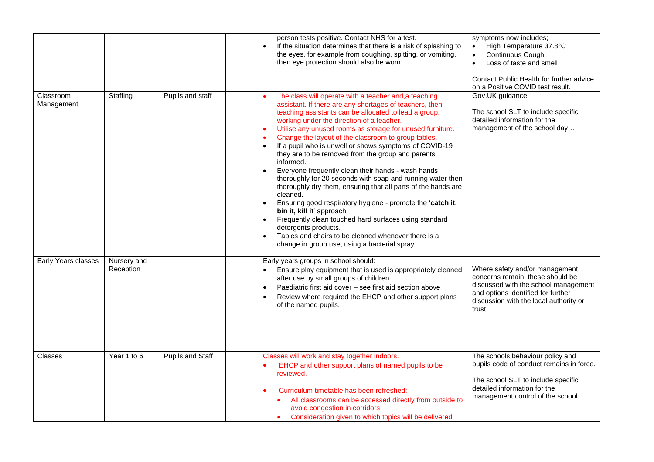|                         |                          |                  | person tests positive. Contact NHS for a test.<br>If the situation determines that there is a risk of splashing to<br>$\bullet$<br>the eyes, for example from coughing, spitting, or vomiting,<br>then eye protection should also be worn.                                                                                                                                                                                                                                                                                                                                                                                                                                                                                                                                                                                                                                                                                                                                                                                                             | symptoms now includes;<br>High Temperature 37.8°C<br>$\bullet$<br>Continuous Cough<br>$\bullet$<br>Loss of taste and smell<br>$\bullet$<br>Contact Public Health for further advice<br>on a Positive COVID test result. |
|-------------------------|--------------------------|------------------|--------------------------------------------------------------------------------------------------------------------------------------------------------------------------------------------------------------------------------------------------------------------------------------------------------------------------------------------------------------------------------------------------------------------------------------------------------------------------------------------------------------------------------------------------------------------------------------------------------------------------------------------------------------------------------------------------------------------------------------------------------------------------------------------------------------------------------------------------------------------------------------------------------------------------------------------------------------------------------------------------------------------------------------------------------|-------------------------------------------------------------------------------------------------------------------------------------------------------------------------------------------------------------------------|
| Classroom<br>Management | Staffing                 | Pupils and staff | The class will operate with a teacher and, a teaching<br>assistant. If there are any shortages of teachers, then<br>teaching assistants can be allocated to lead a group,<br>working under the direction of a teacher.<br>Utilise any unused rooms as storage for unused furniture.<br>$\bullet$<br>Change the layout of the classroom to group tables.<br>$\bullet$<br>If a pupil who is unwell or shows symptoms of COVID-19<br>$\bullet$<br>they are to be removed from the group and parents<br>informed.<br>Everyone frequently clean their hands - wash hands<br>$\bullet$<br>thoroughly for 20 seconds with soap and running water then<br>thoroughly dry them, ensuring that all parts of the hands are<br>cleaned.<br>Ensuring good respiratory hygiene - promote the 'catch it,<br>$\bullet$<br>bin it, kill it' approach<br>Frequently clean touched hard surfaces using standard<br>$\bullet$<br>detergents products.<br>Tables and chairs to be cleaned whenever there is a<br>$\bullet$<br>change in group use, using a bacterial spray. | Gov.UK guidance<br>The school SLT to include specific<br>detailed information for the<br>management of the school day                                                                                                   |
| Early Years classes     | Nursery and<br>Reception |                  | Early years groups in school should:<br>Ensure play equipment that is used is appropriately cleaned<br>$\bullet$<br>after use by small groups of children.<br>Paediatric first aid cover - see first aid section above<br>$\bullet$<br>Review where required the EHCP and other support plans<br>$\bullet$<br>of the named pupils.                                                                                                                                                                                                                                                                                                                                                                                                                                                                                                                                                                                                                                                                                                                     | Where safety and/or management<br>concerns remain, these should be<br>discussed with the school management<br>and options identified for further<br>discussion with the local authority or<br>trust.                    |
| Classes                 | Year 1 to 6              | Pupils and Staff | Classes will work and stay together indoors.<br>EHCP and other support plans of named pupils to be<br>reviewed.<br>Curriculum timetable has been refreshed:<br>$\bullet$<br>All classrooms can be accessed directly from outside to<br>avoid congestion in corridors.<br>Consideration given to which topics will be delivered,                                                                                                                                                                                                                                                                                                                                                                                                                                                                                                                                                                                                                                                                                                                        | The schools behaviour policy and<br>pupils code of conduct remains in force.<br>The school SLT to include specific<br>detailed information for the<br>management control of the school.                                 |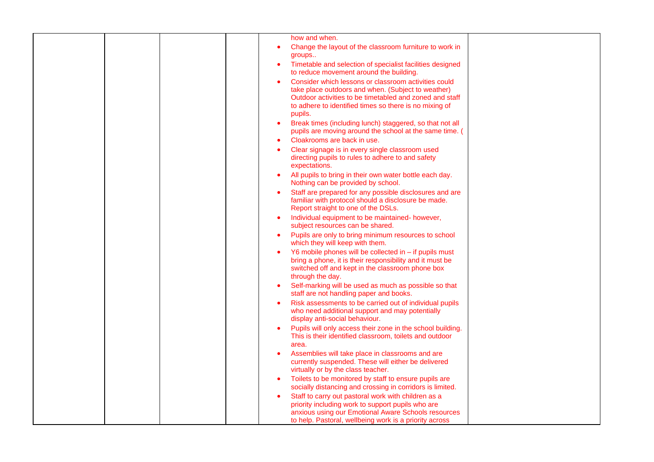| how and when.<br>Change the layout of the classroom furniture to work in<br>groups<br>Timetable and selection of specialist facilities designed<br>to reduce movement around the building.<br>Consider which lessons or classroom activities could<br>take place outdoors and when. (Subject to weather)<br>Outdoor activities to be timetabled and zoned and staff<br>to adhere to identified times so there is no mixing of<br>pupils.<br>Break times (including lunch) staggered, so that not all<br>$\bullet$<br>pupils are moving around the school at the same time. (<br>Cloakrooms are back in use.<br>Clear signage is in every single classroom used<br>directing pupils to rules to adhere to and safety<br>expectations.<br>All pupils to bring in their own water bottle each day.<br>Nothing can be provided by school.<br>Staff are prepared for any possible disclosures and are<br>familiar with protocol should a disclosure be made.<br>Report straight to one of the DSLs.<br>Individual equipment to be maintained- however,<br>$\bullet$<br>subject resources can be shared.<br>Pupils are only to bring minimum resources to school<br>which they will keep with them.<br>Y6 mobile phones will be collected in - if pupils must<br>bring a phone, it is their responsibility and it must be<br>switched off and kept in the classroom phone box<br>through the day.<br>Self-marking will be used as much as possible so that<br>staff are not handling paper and books.<br>Risk assessments to be carried out of individual pupils<br>who need additional support and may potentially<br>display anti-social behaviour.<br>Pupils will only access their zone in the school building.<br>This is their identified classroom, toilets and outdoor<br>area.<br>Assemblies will take place in classrooms and are<br>currently suspended. These will either be delivered<br>virtually or by the class teacher.<br>Toilets to be monitored by staff to ensure pupils are<br>socially distancing and crossing in corridors is limited.<br>Staff to carry out pastoral work with children as a<br>priority including work to support pupils who are<br>anxious using our Emotional Aware Schools resources<br>to help. Pastoral, wellbeing work is a priority across |  |  |  |  |
|---------------------------------------------------------------------------------------------------------------------------------------------------------------------------------------------------------------------------------------------------------------------------------------------------------------------------------------------------------------------------------------------------------------------------------------------------------------------------------------------------------------------------------------------------------------------------------------------------------------------------------------------------------------------------------------------------------------------------------------------------------------------------------------------------------------------------------------------------------------------------------------------------------------------------------------------------------------------------------------------------------------------------------------------------------------------------------------------------------------------------------------------------------------------------------------------------------------------------------------------------------------------------------------------------------------------------------------------------------------------------------------------------------------------------------------------------------------------------------------------------------------------------------------------------------------------------------------------------------------------------------------------------------------------------------------------------------------------------------------------------------------------------------------------------------------------------------------------------------------------------------------------------------------------------------------------------------------------------------------------------------------------------------------------------------------------------------------------------------------------------------------------------------------------------------------------------------------------------------------------------------------------------------------|--|--|--|--|
|                                                                                                                                                                                                                                                                                                                                                                                                                                                                                                                                                                                                                                                                                                                                                                                                                                                                                                                                                                                                                                                                                                                                                                                                                                                                                                                                                                                                                                                                                                                                                                                                                                                                                                                                                                                                                                                                                                                                                                                                                                                                                                                                                                                                                                                                                       |  |  |  |  |
|                                                                                                                                                                                                                                                                                                                                                                                                                                                                                                                                                                                                                                                                                                                                                                                                                                                                                                                                                                                                                                                                                                                                                                                                                                                                                                                                                                                                                                                                                                                                                                                                                                                                                                                                                                                                                                                                                                                                                                                                                                                                                                                                                                                                                                                                                       |  |  |  |  |
|                                                                                                                                                                                                                                                                                                                                                                                                                                                                                                                                                                                                                                                                                                                                                                                                                                                                                                                                                                                                                                                                                                                                                                                                                                                                                                                                                                                                                                                                                                                                                                                                                                                                                                                                                                                                                                                                                                                                                                                                                                                                                                                                                                                                                                                                                       |  |  |  |  |
|                                                                                                                                                                                                                                                                                                                                                                                                                                                                                                                                                                                                                                                                                                                                                                                                                                                                                                                                                                                                                                                                                                                                                                                                                                                                                                                                                                                                                                                                                                                                                                                                                                                                                                                                                                                                                                                                                                                                                                                                                                                                                                                                                                                                                                                                                       |  |  |  |  |
|                                                                                                                                                                                                                                                                                                                                                                                                                                                                                                                                                                                                                                                                                                                                                                                                                                                                                                                                                                                                                                                                                                                                                                                                                                                                                                                                                                                                                                                                                                                                                                                                                                                                                                                                                                                                                                                                                                                                                                                                                                                                                                                                                                                                                                                                                       |  |  |  |  |
|                                                                                                                                                                                                                                                                                                                                                                                                                                                                                                                                                                                                                                                                                                                                                                                                                                                                                                                                                                                                                                                                                                                                                                                                                                                                                                                                                                                                                                                                                                                                                                                                                                                                                                                                                                                                                                                                                                                                                                                                                                                                                                                                                                                                                                                                                       |  |  |  |  |
|                                                                                                                                                                                                                                                                                                                                                                                                                                                                                                                                                                                                                                                                                                                                                                                                                                                                                                                                                                                                                                                                                                                                                                                                                                                                                                                                                                                                                                                                                                                                                                                                                                                                                                                                                                                                                                                                                                                                                                                                                                                                                                                                                                                                                                                                                       |  |  |  |  |
|                                                                                                                                                                                                                                                                                                                                                                                                                                                                                                                                                                                                                                                                                                                                                                                                                                                                                                                                                                                                                                                                                                                                                                                                                                                                                                                                                                                                                                                                                                                                                                                                                                                                                                                                                                                                                                                                                                                                                                                                                                                                                                                                                                                                                                                                                       |  |  |  |  |
|                                                                                                                                                                                                                                                                                                                                                                                                                                                                                                                                                                                                                                                                                                                                                                                                                                                                                                                                                                                                                                                                                                                                                                                                                                                                                                                                                                                                                                                                                                                                                                                                                                                                                                                                                                                                                                                                                                                                                                                                                                                                                                                                                                                                                                                                                       |  |  |  |  |
|                                                                                                                                                                                                                                                                                                                                                                                                                                                                                                                                                                                                                                                                                                                                                                                                                                                                                                                                                                                                                                                                                                                                                                                                                                                                                                                                                                                                                                                                                                                                                                                                                                                                                                                                                                                                                                                                                                                                                                                                                                                                                                                                                                                                                                                                                       |  |  |  |  |
|                                                                                                                                                                                                                                                                                                                                                                                                                                                                                                                                                                                                                                                                                                                                                                                                                                                                                                                                                                                                                                                                                                                                                                                                                                                                                                                                                                                                                                                                                                                                                                                                                                                                                                                                                                                                                                                                                                                                                                                                                                                                                                                                                                                                                                                                                       |  |  |  |  |
|                                                                                                                                                                                                                                                                                                                                                                                                                                                                                                                                                                                                                                                                                                                                                                                                                                                                                                                                                                                                                                                                                                                                                                                                                                                                                                                                                                                                                                                                                                                                                                                                                                                                                                                                                                                                                                                                                                                                                                                                                                                                                                                                                                                                                                                                                       |  |  |  |  |
|                                                                                                                                                                                                                                                                                                                                                                                                                                                                                                                                                                                                                                                                                                                                                                                                                                                                                                                                                                                                                                                                                                                                                                                                                                                                                                                                                                                                                                                                                                                                                                                                                                                                                                                                                                                                                                                                                                                                                                                                                                                                                                                                                                                                                                                                                       |  |  |  |  |
|                                                                                                                                                                                                                                                                                                                                                                                                                                                                                                                                                                                                                                                                                                                                                                                                                                                                                                                                                                                                                                                                                                                                                                                                                                                                                                                                                                                                                                                                                                                                                                                                                                                                                                                                                                                                                                                                                                                                                                                                                                                                                                                                                                                                                                                                                       |  |  |  |  |
|                                                                                                                                                                                                                                                                                                                                                                                                                                                                                                                                                                                                                                                                                                                                                                                                                                                                                                                                                                                                                                                                                                                                                                                                                                                                                                                                                                                                                                                                                                                                                                                                                                                                                                                                                                                                                                                                                                                                                                                                                                                                                                                                                                                                                                                                                       |  |  |  |  |
|                                                                                                                                                                                                                                                                                                                                                                                                                                                                                                                                                                                                                                                                                                                                                                                                                                                                                                                                                                                                                                                                                                                                                                                                                                                                                                                                                                                                                                                                                                                                                                                                                                                                                                                                                                                                                                                                                                                                                                                                                                                                                                                                                                                                                                                                                       |  |  |  |  |
|                                                                                                                                                                                                                                                                                                                                                                                                                                                                                                                                                                                                                                                                                                                                                                                                                                                                                                                                                                                                                                                                                                                                                                                                                                                                                                                                                                                                                                                                                                                                                                                                                                                                                                                                                                                                                                                                                                                                                                                                                                                                                                                                                                                                                                                                                       |  |  |  |  |
|                                                                                                                                                                                                                                                                                                                                                                                                                                                                                                                                                                                                                                                                                                                                                                                                                                                                                                                                                                                                                                                                                                                                                                                                                                                                                                                                                                                                                                                                                                                                                                                                                                                                                                                                                                                                                                                                                                                                                                                                                                                                                                                                                                                                                                                                                       |  |  |  |  |
|                                                                                                                                                                                                                                                                                                                                                                                                                                                                                                                                                                                                                                                                                                                                                                                                                                                                                                                                                                                                                                                                                                                                                                                                                                                                                                                                                                                                                                                                                                                                                                                                                                                                                                                                                                                                                                                                                                                                                                                                                                                                                                                                                                                                                                                                                       |  |  |  |  |
|                                                                                                                                                                                                                                                                                                                                                                                                                                                                                                                                                                                                                                                                                                                                                                                                                                                                                                                                                                                                                                                                                                                                                                                                                                                                                                                                                                                                                                                                                                                                                                                                                                                                                                                                                                                                                                                                                                                                                                                                                                                                                                                                                                                                                                                                                       |  |  |  |  |
|                                                                                                                                                                                                                                                                                                                                                                                                                                                                                                                                                                                                                                                                                                                                                                                                                                                                                                                                                                                                                                                                                                                                                                                                                                                                                                                                                                                                                                                                                                                                                                                                                                                                                                                                                                                                                                                                                                                                                                                                                                                                                                                                                                                                                                                                                       |  |  |  |  |
|                                                                                                                                                                                                                                                                                                                                                                                                                                                                                                                                                                                                                                                                                                                                                                                                                                                                                                                                                                                                                                                                                                                                                                                                                                                                                                                                                                                                                                                                                                                                                                                                                                                                                                                                                                                                                                                                                                                                                                                                                                                                                                                                                                                                                                                                                       |  |  |  |  |
|                                                                                                                                                                                                                                                                                                                                                                                                                                                                                                                                                                                                                                                                                                                                                                                                                                                                                                                                                                                                                                                                                                                                                                                                                                                                                                                                                                                                                                                                                                                                                                                                                                                                                                                                                                                                                                                                                                                                                                                                                                                                                                                                                                                                                                                                                       |  |  |  |  |
|                                                                                                                                                                                                                                                                                                                                                                                                                                                                                                                                                                                                                                                                                                                                                                                                                                                                                                                                                                                                                                                                                                                                                                                                                                                                                                                                                                                                                                                                                                                                                                                                                                                                                                                                                                                                                                                                                                                                                                                                                                                                                                                                                                                                                                                                                       |  |  |  |  |
|                                                                                                                                                                                                                                                                                                                                                                                                                                                                                                                                                                                                                                                                                                                                                                                                                                                                                                                                                                                                                                                                                                                                                                                                                                                                                                                                                                                                                                                                                                                                                                                                                                                                                                                                                                                                                                                                                                                                                                                                                                                                                                                                                                                                                                                                                       |  |  |  |  |
|                                                                                                                                                                                                                                                                                                                                                                                                                                                                                                                                                                                                                                                                                                                                                                                                                                                                                                                                                                                                                                                                                                                                                                                                                                                                                                                                                                                                                                                                                                                                                                                                                                                                                                                                                                                                                                                                                                                                                                                                                                                                                                                                                                                                                                                                                       |  |  |  |  |
|                                                                                                                                                                                                                                                                                                                                                                                                                                                                                                                                                                                                                                                                                                                                                                                                                                                                                                                                                                                                                                                                                                                                                                                                                                                                                                                                                                                                                                                                                                                                                                                                                                                                                                                                                                                                                                                                                                                                                                                                                                                                                                                                                                                                                                                                                       |  |  |  |  |
|                                                                                                                                                                                                                                                                                                                                                                                                                                                                                                                                                                                                                                                                                                                                                                                                                                                                                                                                                                                                                                                                                                                                                                                                                                                                                                                                                                                                                                                                                                                                                                                                                                                                                                                                                                                                                                                                                                                                                                                                                                                                                                                                                                                                                                                                                       |  |  |  |  |
|                                                                                                                                                                                                                                                                                                                                                                                                                                                                                                                                                                                                                                                                                                                                                                                                                                                                                                                                                                                                                                                                                                                                                                                                                                                                                                                                                                                                                                                                                                                                                                                                                                                                                                                                                                                                                                                                                                                                                                                                                                                                                                                                                                                                                                                                                       |  |  |  |  |
|                                                                                                                                                                                                                                                                                                                                                                                                                                                                                                                                                                                                                                                                                                                                                                                                                                                                                                                                                                                                                                                                                                                                                                                                                                                                                                                                                                                                                                                                                                                                                                                                                                                                                                                                                                                                                                                                                                                                                                                                                                                                                                                                                                                                                                                                                       |  |  |  |  |
|                                                                                                                                                                                                                                                                                                                                                                                                                                                                                                                                                                                                                                                                                                                                                                                                                                                                                                                                                                                                                                                                                                                                                                                                                                                                                                                                                                                                                                                                                                                                                                                                                                                                                                                                                                                                                                                                                                                                                                                                                                                                                                                                                                                                                                                                                       |  |  |  |  |
|                                                                                                                                                                                                                                                                                                                                                                                                                                                                                                                                                                                                                                                                                                                                                                                                                                                                                                                                                                                                                                                                                                                                                                                                                                                                                                                                                                                                                                                                                                                                                                                                                                                                                                                                                                                                                                                                                                                                                                                                                                                                                                                                                                                                                                                                                       |  |  |  |  |
|                                                                                                                                                                                                                                                                                                                                                                                                                                                                                                                                                                                                                                                                                                                                                                                                                                                                                                                                                                                                                                                                                                                                                                                                                                                                                                                                                                                                                                                                                                                                                                                                                                                                                                                                                                                                                                                                                                                                                                                                                                                                                                                                                                                                                                                                                       |  |  |  |  |
|                                                                                                                                                                                                                                                                                                                                                                                                                                                                                                                                                                                                                                                                                                                                                                                                                                                                                                                                                                                                                                                                                                                                                                                                                                                                                                                                                                                                                                                                                                                                                                                                                                                                                                                                                                                                                                                                                                                                                                                                                                                                                                                                                                                                                                                                                       |  |  |  |  |
|                                                                                                                                                                                                                                                                                                                                                                                                                                                                                                                                                                                                                                                                                                                                                                                                                                                                                                                                                                                                                                                                                                                                                                                                                                                                                                                                                                                                                                                                                                                                                                                                                                                                                                                                                                                                                                                                                                                                                                                                                                                                                                                                                                                                                                                                                       |  |  |  |  |
|                                                                                                                                                                                                                                                                                                                                                                                                                                                                                                                                                                                                                                                                                                                                                                                                                                                                                                                                                                                                                                                                                                                                                                                                                                                                                                                                                                                                                                                                                                                                                                                                                                                                                                                                                                                                                                                                                                                                                                                                                                                                                                                                                                                                                                                                                       |  |  |  |  |
|                                                                                                                                                                                                                                                                                                                                                                                                                                                                                                                                                                                                                                                                                                                                                                                                                                                                                                                                                                                                                                                                                                                                                                                                                                                                                                                                                                                                                                                                                                                                                                                                                                                                                                                                                                                                                                                                                                                                                                                                                                                                                                                                                                                                                                                                                       |  |  |  |  |
|                                                                                                                                                                                                                                                                                                                                                                                                                                                                                                                                                                                                                                                                                                                                                                                                                                                                                                                                                                                                                                                                                                                                                                                                                                                                                                                                                                                                                                                                                                                                                                                                                                                                                                                                                                                                                                                                                                                                                                                                                                                                                                                                                                                                                                                                                       |  |  |  |  |
|                                                                                                                                                                                                                                                                                                                                                                                                                                                                                                                                                                                                                                                                                                                                                                                                                                                                                                                                                                                                                                                                                                                                                                                                                                                                                                                                                                                                                                                                                                                                                                                                                                                                                                                                                                                                                                                                                                                                                                                                                                                                                                                                                                                                                                                                                       |  |  |  |  |
|                                                                                                                                                                                                                                                                                                                                                                                                                                                                                                                                                                                                                                                                                                                                                                                                                                                                                                                                                                                                                                                                                                                                                                                                                                                                                                                                                                                                                                                                                                                                                                                                                                                                                                                                                                                                                                                                                                                                                                                                                                                                                                                                                                                                                                                                                       |  |  |  |  |
|                                                                                                                                                                                                                                                                                                                                                                                                                                                                                                                                                                                                                                                                                                                                                                                                                                                                                                                                                                                                                                                                                                                                                                                                                                                                                                                                                                                                                                                                                                                                                                                                                                                                                                                                                                                                                                                                                                                                                                                                                                                                                                                                                                                                                                                                                       |  |  |  |  |
|                                                                                                                                                                                                                                                                                                                                                                                                                                                                                                                                                                                                                                                                                                                                                                                                                                                                                                                                                                                                                                                                                                                                                                                                                                                                                                                                                                                                                                                                                                                                                                                                                                                                                                                                                                                                                                                                                                                                                                                                                                                                                                                                                                                                                                                                                       |  |  |  |  |
|                                                                                                                                                                                                                                                                                                                                                                                                                                                                                                                                                                                                                                                                                                                                                                                                                                                                                                                                                                                                                                                                                                                                                                                                                                                                                                                                                                                                                                                                                                                                                                                                                                                                                                                                                                                                                                                                                                                                                                                                                                                                                                                                                                                                                                                                                       |  |  |  |  |
|                                                                                                                                                                                                                                                                                                                                                                                                                                                                                                                                                                                                                                                                                                                                                                                                                                                                                                                                                                                                                                                                                                                                                                                                                                                                                                                                                                                                                                                                                                                                                                                                                                                                                                                                                                                                                                                                                                                                                                                                                                                                                                                                                                                                                                                                                       |  |  |  |  |
|                                                                                                                                                                                                                                                                                                                                                                                                                                                                                                                                                                                                                                                                                                                                                                                                                                                                                                                                                                                                                                                                                                                                                                                                                                                                                                                                                                                                                                                                                                                                                                                                                                                                                                                                                                                                                                                                                                                                                                                                                                                                                                                                                                                                                                                                                       |  |  |  |  |
|                                                                                                                                                                                                                                                                                                                                                                                                                                                                                                                                                                                                                                                                                                                                                                                                                                                                                                                                                                                                                                                                                                                                                                                                                                                                                                                                                                                                                                                                                                                                                                                                                                                                                                                                                                                                                                                                                                                                                                                                                                                                                                                                                                                                                                                                                       |  |  |  |  |
|                                                                                                                                                                                                                                                                                                                                                                                                                                                                                                                                                                                                                                                                                                                                                                                                                                                                                                                                                                                                                                                                                                                                                                                                                                                                                                                                                                                                                                                                                                                                                                                                                                                                                                                                                                                                                                                                                                                                                                                                                                                                                                                                                                                                                                                                                       |  |  |  |  |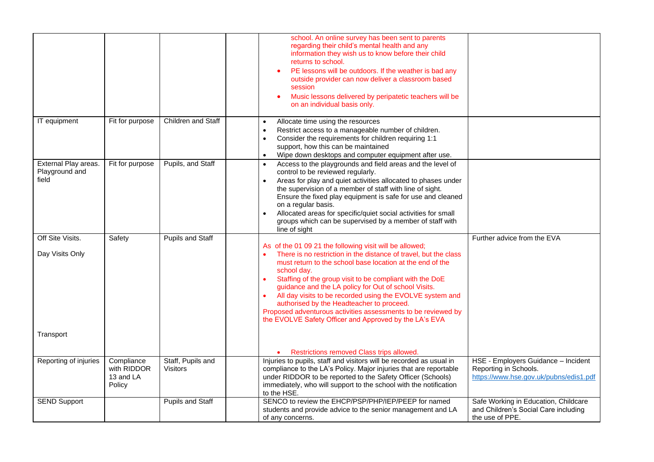|                                                 |                                                  |                                      | school. An online survey has been sent to parents<br>regarding their child's mental health and any<br>information they wish us to know before their child<br>returns to school.<br>PE lessons will be outdoors. If the weather is bad any<br>$\bullet$<br>outside provider can now deliver a classroom based<br>session<br>Music lessons delivered by peripatetic teachers will be<br>٠<br>on an individual basis only.                                                                                                                                                                    |                                                                                                        |
|-------------------------------------------------|--------------------------------------------------|--------------------------------------|--------------------------------------------------------------------------------------------------------------------------------------------------------------------------------------------------------------------------------------------------------------------------------------------------------------------------------------------------------------------------------------------------------------------------------------------------------------------------------------------------------------------------------------------------------------------------------------------|--------------------------------------------------------------------------------------------------------|
|                                                 |                                                  |                                      |                                                                                                                                                                                                                                                                                                                                                                                                                                                                                                                                                                                            |                                                                                                        |
| IT equipment                                    | Fit for purpose                                  | Children and Staff                   | Allocate time using the resources<br>$\bullet$<br>Restrict access to a manageable number of children.<br>$\bullet$<br>Consider the requirements for children requiring 1:1<br>$\bullet$<br>support, how this can be maintained<br>Wipe down desktops and computer equipment after use.<br>$\bullet$                                                                                                                                                                                                                                                                                        |                                                                                                        |
| External Play areas.<br>Playground and<br>field | Fit for purpose                                  | Pupils, and Staff                    | Access to the playgrounds and field areas and the level of<br>$\bullet$<br>control to be reviewed regularly.<br>Areas for play and quiet activities allocated to phases under<br>$\bullet$<br>the supervision of a member of staff with line of sight.<br>Ensure the fixed play equipment is safe for use and cleaned<br>on a regular basis.<br>Allocated areas for specific/quiet social activities for small<br>$\bullet$<br>groups which can be supervised by a member of staff with<br>line of sight                                                                                   |                                                                                                        |
| Off Site Visits.<br>Day Visits Only             | Safety                                           | Pupils and Staff                     | As of the 01 09 21 the following visit will be allowed;<br>There is no restriction in the distance of travel, but the class<br>must return to the school base location at the end of the<br>school day.<br>Staffing of the group visit to be compliant with the DoE<br>$\bullet$<br>guidance and the LA policy for Out of school Visits.<br>All day visits to be recorded using the EVOLVE system and<br>$\bullet$<br>authorised by the Headteacher to proceed.<br>Proposed adventurous activities assessments to be reviewed by<br>the EVOLVE Safety Officer and Approved by the LA's EVA | Further advice from the EVA                                                                            |
| Transport                                       |                                                  |                                      | Restrictions removed Class trips allowed.                                                                                                                                                                                                                                                                                                                                                                                                                                                                                                                                                  |                                                                                                        |
| Reporting of injuries                           | Compliance<br>with RIDDOR<br>13 and LA<br>Policy | Staff, Pupils and<br><b>Visitors</b> | Injuries to pupils, staff and visitors will be recorded as usual in<br>compliance to the LA's Policy. Major injuries that are reportable<br>under RIDDOR to be reported to the Safety Officer (Schools)<br>immediately, who will support to the school with the notification<br>to the HSE.                                                                                                                                                                                                                                                                                                | HSE - Employers Guidance - Incident<br>Reporting in Schools.<br>https://www.hse.gov.uk/pubns/edis1.pdf |
| <b>SEND Support</b>                             |                                                  | Pupils and Staff                     | SENCO to review the EHCP/PSP/PHP/IEP/PEEP for named<br>students and provide advice to the senior management and LA<br>of any concerns.                                                                                                                                                                                                                                                                                                                                                                                                                                                     | Safe Working in Education, Childcare<br>and Children's Social Care including<br>the use of PPE.        |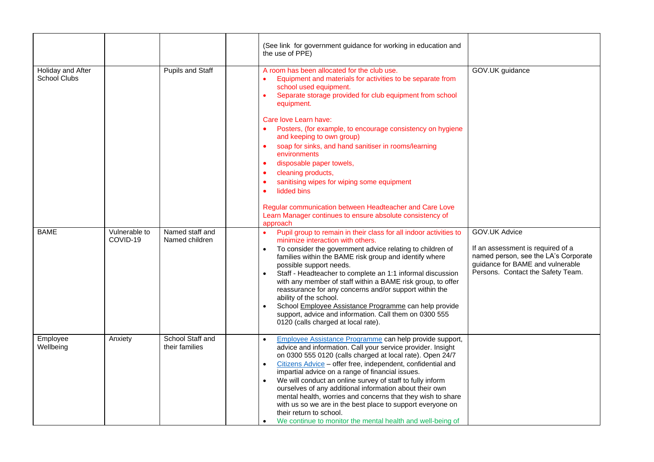|                                          |                           |                                    | (See link for government guidance for working in education and<br>the use of PPE)                                                                                                                                                                                                                                                                                                                                                                                                                                                                                                                                                                                                                        |                                                                                                                                                                     |
|------------------------------------------|---------------------------|------------------------------------|----------------------------------------------------------------------------------------------------------------------------------------------------------------------------------------------------------------------------------------------------------------------------------------------------------------------------------------------------------------------------------------------------------------------------------------------------------------------------------------------------------------------------------------------------------------------------------------------------------------------------------------------------------------------------------------------------------|---------------------------------------------------------------------------------------------------------------------------------------------------------------------|
| Holiday and After<br><b>School Clubs</b> |                           | Pupils and Staff                   | A room has been allocated for the club use.<br>Equipment and materials for activities to be separate from<br>school used equipment.<br>Separate storage provided for club equipment from school<br>equipment.<br>Care love Learn have:<br>Posters, (for example, to encourage consistency on hygiene<br>and keeping to own group)<br>soap for sinks, and hand sanitiser in rooms/learning<br>environments<br>disposable paper towels,<br>cleaning products,<br>$\bullet$<br>sanitising wipes for wiping some equipment<br>$\bullet$<br>lidded bins<br>$\bullet$<br>Regular communication between Headteacher and Care Love<br>Learn Manager continues to ensure absolute consistency of<br>approach      | GOV.UK guidance                                                                                                                                                     |
| <b>BAME</b>                              | Vulnerable to<br>COVID-19 | Named staff and<br>Named children  | Pupil group to remain in their class for all indoor activities to<br>$\bullet$<br>minimize interaction with others.<br>To consider the government advice relating to children of<br>$\bullet$<br>families within the BAME risk group and identify where<br>possible support needs.<br>Staff - Headteacher to complete an 1:1 informal discussion<br>$\bullet$<br>with any member of staff within a BAME risk group, to offer<br>reassurance for any concerns and/or support within the<br>ability of the school.<br>School Employee Assistance Programme can help provide<br>$\bullet$<br>support, advice and information. Call them on 0300 555<br>0120 (calls charged at local rate).                  | GOV.UK Advice<br>If an assessment is required of a<br>named person, see the LA's Corporate<br>guidance for BAME and vulnerable<br>Persons. Contact the Safety Team. |
| Employee<br>Wellbeing                    | Anxiety                   | School Staff and<br>their families | Employee Assistance Programme can help provide support,<br>$\bullet$<br>advice and information. Call your service provider. Insight<br>on 0300 555 0120 (calls charged at local rate). Open 24/7<br>Citizens Advice - offer free, independent, confidential and<br>$\bullet$<br>impartial advice on a range of financial issues.<br>We will conduct an online survey of staff to fully inform<br>$\bullet$<br>ourselves of any additional information about their own<br>mental health, worries and concerns that they wish to share<br>with us so we are in the best place to support everyone on<br>their return to school.<br>We continue to monitor the mental health and well-being of<br>$\bullet$ |                                                                                                                                                                     |